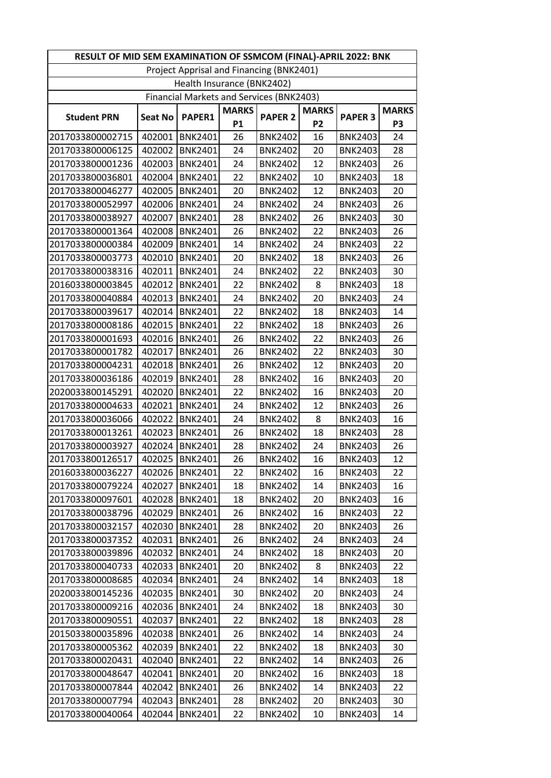| RESULT OF MID SEM EXAMINATION OF SSMCOM (FINAL)-APRIL 2022: BNK |                |                  |                           |                                          |                                |                |                                |
|-----------------------------------------------------------------|----------------|------------------|---------------------------|------------------------------------------|--------------------------------|----------------|--------------------------------|
| Project Apprisal and Financing (BNK2401)                        |                |                  |                           |                                          |                                |                |                                |
| Health Insurance (BNK2402)                                      |                |                  |                           |                                          |                                |                |                                |
|                                                                 |                |                  |                           | Financial Markets and Services (BNK2403) |                                |                |                                |
| <b>Student PRN</b>                                              | <b>Seat No</b> | <b>PAPER1</b>    | <b>MARKS</b><br><b>P1</b> | <b>PAPER 2</b>                           | <b>MARKS</b><br>P <sub>2</sub> | <b>PAPER 3</b> | <b>MARKS</b><br>P <sub>3</sub> |
| 2017033800002715                                                | 402001         | <b>BNK2401</b>   | 26                        | <b>BNK2402</b>                           | 16                             | <b>BNK2403</b> | 24                             |
| 2017033800006125                                                | 402002         | <b>BNK2401</b>   | 24                        | <b>BNK2402</b>                           | 20                             | <b>BNK2403</b> | 28                             |
| 2017033800001236                                                | 402003         | BNK2401          | 24                        | <b>BNK2402</b>                           | 12                             | <b>BNK2403</b> | 26                             |
| 2017033800036801                                                | 402004         | <b>BNK2401</b>   | 22                        | <b>BNK2402</b>                           | 10                             | <b>BNK2403</b> | 18                             |
| 2017033800046277                                                | 402005         | <b>BNK2401</b>   | 20                        | <b>BNK2402</b>                           | 12                             | <b>BNK2403</b> | 20                             |
| 2017033800052997                                                | 402006         | <b>BNK2401</b>   | 24                        | <b>BNK2402</b>                           | 24                             | <b>BNK2403</b> | 26                             |
| 2017033800038927                                                | 402007         | <b>BNK2401</b>   | 28                        | <b>BNK2402</b>                           | 26                             | <b>BNK2403</b> | 30                             |
| 2017033800001364                                                | 402008         | BNK2401          | 26                        | <b>BNK2402</b>                           | 22                             | <b>BNK2403</b> | 26                             |
| 2017033800000384                                                | 402009         | <b>BNK2401</b>   | 14                        | <b>BNK2402</b>                           | 24                             | <b>BNK2403</b> | 22                             |
| 2017033800003773                                                | 402010         | <b>BNK2401</b>   | 20                        | <b>BNK2402</b>                           | 18                             | <b>BNK2403</b> | 26                             |
| 2017033800038316                                                | 402011         | <b>BNK2401</b>   | 24                        | <b>BNK2402</b>                           | 22                             | <b>BNK2403</b> | 30                             |
| 2016033800003845                                                | 402012         | <b>BNK2401</b>   | 22                        | <b>BNK2402</b>                           | 8                              | <b>BNK2403</b> | 18                             |
| 2017033800040884                                                | 402013         | <b>BNK2401</b>   | 24                        | <b>BNK2402</b>                           | 20                             | <b>BNK2403</b> | 24                             |
| 2017033800039617                                                | 402014         | <b>BNK2401</b>   | 22                        | <b>BNK2402</b>                           | 18                             | <b>BNK2403</b> | 14                             |
| 2017033800008186                                                | 402015         | <b>BNK2401</b>   | 22                        | <b>BNK2402</b>                           | 18                             | <b>BNK2403</b> | 26                             |
| 2017033800001693                                                | 402016         | <b>BNK2401</b>   | 26                        | <b>BNK2402</b>                           | 22                             | <b>BNK2403</b> | 26                             |
| 2017033800001782                                                | 402017         | BNK2401          | 26                        | <b>BNK2402</b>                           | 22                             | <b>BNK2403</b> | 30                             |
| 2017033800004231                                                | 402018         | <b>BNK2401</b>   | 26                        | <b>BNK2402</b>                           | 12                             | <b>BNK2403</b> | 20                             |
| 2017033800036186                                                | 402019         | <b>BNK2401</b>   | 28                        | <b>BNK2402</b>                           | 16                             | <b>BNK2403</b> | 20                             |
| 2020033800145291                                                | 402020         | <b>BNK2401</b>   | 22                        | <b>BNK2402</b>                           | 16                             | <b>BNK2403</b> | 20                             |
| 2017033800004633                                                | 402021         | <b>BNK2401</b>   | 24                        | <b>BNK2402</b>                           | 12                             | <b>BNK2403</b> | 26                             |
| 2017033800036066                                                | 402022         | <b>BNK2401</b>   | 24                        | <b>BNK2402</b>                           | 8                              | <b>BNK2403</b> | 16                             |
| 2017033800013261                                                | 402023         | <b>BNK2401</b>   | 26                        | <b>BNK2402</b>                           | 18                             | <b>BNK2403</b> | 28                             |
| 2017033800003927                                                | 402024         | <b>BNK2401</b>   | 28                        | <b>BNK2402</b>                           | 24                             | <b>BNK2403</b> | 26                             |
| 2017033800126517                                                | 402025         | <b>BNK2401</b>   | 26                        | <b>BNK2402</b>                           | 16                             | <b>BNK2403</b> | 12                             |
| 2016033800036227                                                |                | 402026   BNK2401 | 22                        | <b>BNK2402</b>                           | 16                             | <b>BNK2403</b> | 22                             |
| 2017033800079224                                                | 402027         | <b>BNK2401</b>   | 18                        | <b>BNK2402</b>                           | 14                             | <b>BNK2403</b> | 16                             |
| 2017033800097601                                                | 402028         | BNK2401          | 18                        | <b>BNK2402</b>                           | 20                             | <b>BNK2403</b> | 16                             |
| 2017033800038796                                                | 402029         | BNK2401          | 26                        | <b>BNK2402</b>                           | 16                             | <b>BNK2403</b> | 22                             |
| 2017033800032157                                                | 402030         | BNK2401          | 28                        | <b>BNK2402</b>                           | 20                             | <b>BNK2403</b> | 26                             |
| 2017033800037352                                                | 402031         | <b>BNK2401</b>   | 26                        | <b>BNK2402</b>                           | 24                             | <b>BNK2403</b> | 24                             |
| 2017033800039896                                                | 402032         | <b>BNK2401</b>   | 24                        | <b>BNK2402</b>                           | 18                             | <b>BNK2403</b> | 20                             |
| 2017033800040733                                                | 402033         | BNK2401          | 20                        | <b>BNK2402</b>                           | 8                              | <b>BNK2403</b> | 22                             |
| 2017033800008685                                                | 402034         | BNK2401          | 24                        | <b>BNK2402</b>                           | 14                             | <b>BNK2403</b> | 18                             |
| 2020033800145236                                                | 402035         | <b>BNK2401</b>   | 30                        | <b>BNK2402</b>                           | 20                             | <b>BNK2403</b> | 24                             |
| 2017033800009216                                                | 402036         | <b>BNK2401</b>   | 24                        | <b>BNK2402</b>                           | 18                             | <b>BNK2403</b> | 30                             |
| 2017033800090551                                                | 402037         | <b>BNK2401</b>   | 22                        | <b>BNK2402</b>                           | 18                             | <b>BNK2403</b> | 28                             |
| 2015033800035896                                                | 402038         | BNK2401          | 26                        | <b>BNK2402</b>                           | 14                             | <b>BNK2403</b> | 24                             |
| 2017033800005362                                                | 402039         | BNK2401          | 22                        | <b>BNK2402</b>                           | 18                             | <b>BNK2403</b> | 30                             |
| 2017033800020431                                                | 402040         | <b>BNK2401</b>   | 22                        | <b>BNK2402</b>                           | 14                             | <b>BNK2403</b> | 26                             |
| 2017033800048647                                                | 402041         | <b>BNK2401</b>   | 20                        | <b>BNK2402</b>                           | 16                             | <b>BNK2403</b> | 18                             |
| 2017033800007844                                                | 402042         | <b>BNK2401</b>   | 26                        | <b>BNK2402</b>                           | 14                             | <b>BNK2403</b> | 22                             |
| 2017033800007794                                                | 402043         | <b>BNK2401</b>   | 28                        | <b>BNK2402</b>                           | 20                             | <b>BNK2403</b> | 30                             |
| 2017033800040064                                                | 402044         | <b>BNK2401</b>   | 22                        | <b>BNK2402</b>                           | 10                             | <b>BNK2403</b> | 14                             |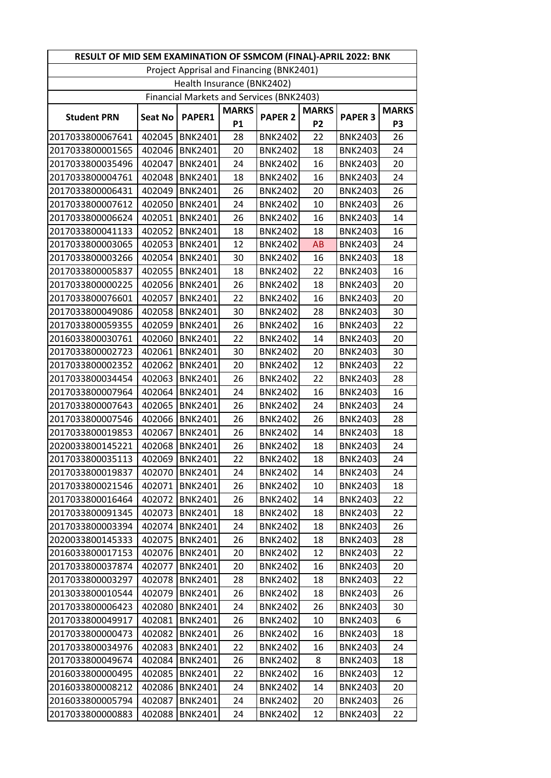| RESULT OF MID SEM EXAMINATION OF SSMCOM (FINAL)-APRIL 2022: BNK |                            |                  |                           |                                          |                                |                |                                |  |
|-----------------------------------------------------------------|----------------------------|------------------|---------------------------|------------------------------------------|--------------------------------|----------------|--------------------------------|--|
|                                                                 |                            |                  |                           | Project Apprisal and Financing (BNK2401) |                                |                |                                |  |
|                                                                 | Health Insurance (BNK2402) |                  |                           |                                          |                                |                |                                |  |
|                                                                 |                            |                  |                           | Financial Markets and Services (BNK2403) |                                |                |                                |  |
| <b>Student PRN</b>                                              | <b>Seat No</b>             | <b>PAPER1</b>    | <b>MARKS</b><br><b>P1</b> | <b>PAPER 2</b>                           | <b>MARKS</b><br>P <sub>2</sub> | <b>PAPER 3</b> | <b>MARKS</b><br>P <sub>3</sub> |  |
| 2017033800067641                                                | 402045                     | <b>BNK2401</b>   | 28                        | <b>BNK2402</b>                           | 22                             | <b>BNK2403</b> | 26                             |  |
| 2017033800001565                                                | 402046                     | <b>BNK2401</b>   | 20                        | <b>BNK2402</b>                           | 18                             | <b>BNK2403</b> | 24                             |  |
| 2017033800035496                                                | 402047                     | BNK2401          | 24                        | <b>BNK2402</b>                           | 16                             | <b>BNK2403</b> | 20                             |  |
| 2017033800004761                                                | 402048                     | <b>BNK2401</b>   | 18                        | <b>BNK2402</b>                           | 16                             | <b>BNK2403</b> | 24                             |  |
| 2017033800006431                                                | 402049                     | <b>BNK2401</b>   | 26                        | <b>BNK2402</b>                           | 20                             | <b>BNK2403</b> | 26                             |  |
| 2017033800007612                                                | 402050                     | <b>BNK2401</b>   | 24                        | <b>BNK2402</b>                           | 10                             | <b>BNK2403</b> | 26                             |  |
| 2017033800006624                                                | 402051                     | <b>BNK2401</b>   | 26                        | <b>BNK2402</b>                           | 16                             | <b>BNK2403</b> | 14                             |  |
| 2017033800041133                                                | 402052                     | BNK2401          | 18                        | <b>BNK2402</b>                           | 18                             | <b>BNK2403</b> | 16                             |  |
| 2017033800003065                                                | 402053                     | <b>BNK2401</b>   | 12                        | <b>BNK2402</b>                           | AB                             | <b>BNK2403</b> | 24                             |  |
| 2017033800003266                                                | 402054                     | <b>BNK2401</b>   | 30                        | <b>BNK2402</b>                           | 16                             | <b>BNK2403</b> | 18                             |  |
| 2017033800005837                                                | 402055                     | <b>BNK2401</b>   | 18                        | <b>BNK2402</b>                           | 22                             | <b>BNK2403</b> | 16                             |  |
| 2017033800000225                                                | 402056                     | BNK2401          | 26                        | <b>BNK2402</b>                           | 18                             | <b>BNK2403</b> | 20                             |  |
| 2017033800076601                                                | 402057                     | <b>BNK2401</b>   | 22                        | <b>BNK2402</b>                           | 16                             | <b>BNK2403</b> | 20                             |  |
| 2017033800049086                                                | 402058                     | <b>BNK2401</b>   | 30                        | <b>BNK2402</b>                           | 28                             | <b>BNK2403</b> | 30                             |  |
| 2017033800059355                                                | 402059                     | <b>BNK2401</b>   | 26                        | <b>BNK2402</b>                           | 16                             | <b>BNK2403</b> | 22                             |  |
| 2016033800030761                                                | 402060                     | <b>BNK2401</b>   | 22                        | <b>BNK2402</b>                           | 14                             | <b>BNK2403</b> | 20                             |  |
| 2017033800002723                                                | 402061                     | BNK2401          | 30                        | <b>BNK2402</b>                           | 20                             | <b>BNK2403</b> | 30                             |  |
| 2017033800002352                                                | 402062                     | <b>BNK2401</b>   | 20                        | <b>BNK2402</b>                           | 12                             | <b>BNK2403</b> | 22                             |  |
| 2017033800034454                                                | 402063                     | <b>BNK2401</b>   | 26                        | <b>BNK2402</b>                           | 22                             | <b>BNK2403</b> | 28                             |  |
| 2017033800007964                                                | 402064                     | <b>BNK2401</b>   | 24                        | <b>BNK2402</b>                           | 16                             | <b>BNK2403</b> | 16                             |  |
| 2017033800007643                                                | 402065                     | <b>BNK2401</b>   | 26                        | <b>BNK2402</b>                           | 24                             | <b>BNK2403</b> | 24                             |  |
| 2017033800007546                                                | 402066                     | <b>BNK2401</b>   | 26                        | <b>BNK2402</b>                           | 26                             | <b>BNK2403</b> | 28                             |  |
| 2017033800019853                                                | 402067                     | <b>BNK2401</b>   | 26                        | <b>BNK2402</b>                           | 14                             | <b>BNK2403</b> | 18                             |  |
| 2020033800145221                                                | 402068                     | <b>BNK2401</b>   | 26                        | <b>BNK2402</b>                           | 18                             | <b>BNK2403</b> | 24                             |  |
| 2017033800035113                                                | 402069                     | <b>BNK2401</b>   | 22                        | <b>BNK2402</b>                           | 18                             | <b>BNK2403</b> | 24                             |  |
| 2017033800019837                                                |                            | 402070   BNK2401 | 24                        | <b>BNK2402</b>                           | 14                             | <b>BNK2403</b> | 24                             |  |
| 2017033800021546                                                | 402071                     | <b>BNK2401</b>   | 26                        | <b>BNK2402</b>                           | 10                             | <b>BNK2403</b> | 18                             |  |
| 2017033800016464                                                | 402072                     | <b>BNK2401</b>   | 26                        | <b>BNK2402</b>                           | 14                             | <b>BNK2403</b> | 22                             |  |
| 2017033800091345                                                | 402073                     | <b>BNK2401</b>   | 18                        | <b>BNK2402</b>                           | 18                             | <b>BNK2403</b> | 22                             |  |
| 2017033800003394                                                | 402074                     | BNK2401          | 24                        | <b>BNK2402</b>                           | 18                             | <b>BNK2403</b> | 26                             |  |
| 2020033800145333                                                | 402075                     | <b>BNK2401</b>   | 26                        | <b>BNK2402</b>                           | 18                             | <b>BNK2403</b> | 28                             |  |
| 2016033800017153                                                | 402076                     | <b>BNK2401</b>   | 20                        | <b>BNK2402</b>                           | 12                             | <b>BNK2403</b> | 22                             |  |
| 2017033800037874                                                | 402077                     | BNK2401          | 20                        | <b>BNK2402</b>                           | 16                             | <b>BNK2403</b> | 20                             |  |
| 2017033800003297                                                | 402078                     | BNK2401          | 28                        | <b>BNK2402</b>                           | 18                             | <b>BNK2403</b> | 22                             |  |
| 2013033800010544                                                | 402079                     | <b>BNK2401</b>   | 26                        | <b>BNK2402</b>                           | 18                             | <b>BNK2403</b> | 26                             |  |
| 2017033800006423                                                | 402080                     | BNK2401          | 24                        | <b>BNK2402</b>                           | 26                             | <b>BNK2403</b> | 30                             |  |
| 2017033800049917                                                | 402081                     | <b>BNK2401</b>   | 26                        | <b>BNK2402</b>                           | 10                             | <b>BNK2403</b> | 6                              |  |
| 2017033800000473                                                | 402082                     | BNK2401          | 26                        | <b>BNK2402</b>                           | 16                             | <b>BNK2403</b> | 18                             |  |
| 2017033800034976                                                | 402083                     | BNK2401          | 22                        | <b>BNK2402</b>                           | 16                             | <b>BNK2403</b> | 24                             |  |
| 2017033800049674                                                | 402084                     | <b>BNK2401</b>   | 26                        | <b>BNK2402</b>                           | 8                              | <b>BNK2403</b> | 18                             |  |
| 2016033800000495                                                | 402085                     | <b>BNK2401</b>   | 22                        | <b>BNK2402</b>                           | 16                             | <b>BNK2403</b> | 12                             |  |
| 2016033800008212                                                | 402086                     | <b>BNK2401</b>   | 24                        | <b>BNK2402</b>                           | 14                             | <b>BNK2403</b> | 20                             |  |
| 2016033800005794                                                | 402087                     | <b>BNK2401</b>   | 24                        | <b>BNK2402</b>                           | 20                             | <b>BNK2403</b> | 26                             |  |
| 2017033800000883                                                | 402088                     | <b>BNK2401</b>   | 24                        | <b>BNK2402</b>                           | 12                             | <b>BNK2403</b> | 22                             |  |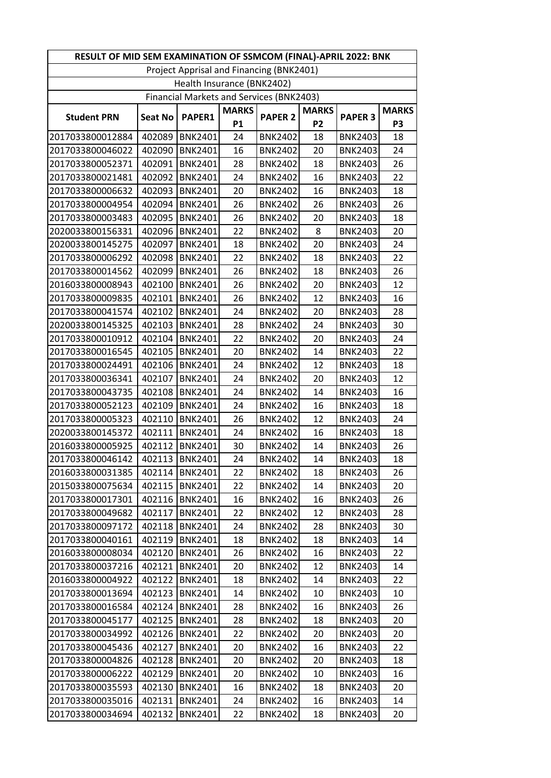| RESULT OF MID SEM EXAMINATION OF SSMCOM (FINAL)-APRIL 2022: BNK |                |                |                           |                                                 |                                |                |                                |
|-----------------------------------------------------------------|----------------|----------------|---------------------------|-------------------------------------------------|--------------------------------|----------------|--------------------------------|
| Project Apprisal and Financing (BNK2401)                        |                |                |                           |                                                 |                                |                |                                |
| Health Insurance (BNK2402)                                      |                |                |                           |                                                 |                                |                |                                |
|                                                                 |                |                |                           | <b>Financial Markets and Services (BNK2403)</b> |                                |                |                                |
| <b>Student PRN</b>                                              | <b>Seat No</b> | <b>PAPER1</b>  | <b>MARKS</b><br><b>P1</b> | <b>PAPER 2</b>                                  | <b>MARKS</b><br>P <sub>2</sub> | <b>PAPER 3</b> | <b>MARKS</b><br>P <sub>3</sub> |
| 2017033800012884                                                | 402089         | <b>BNK2401</b> | 24                        | <b>BNK2402</b>                                  | 18                             | <b>BNK2403</b> | 18                             |
| 2017033800046022                                                | 402090         | <b>BNK2401</b> | 16                        | <b>BNK2402</b>                                  | 20                             | <b>BNK2403</b> | 24                             |
| 2017033800052371                                                | 402091         | <b>BNK2401</b> | 28                        | <b>BNK2402</b>                                  | 18                             | <b>BNK2403</b> | 26                             |
| 2017033800021481                                                | 402092         | <b>BNK2401</b> | 24                        | <b>BNK2402</b>                                  | 16                             | <b>BNK2403</b> | 22                             |
| 2017033800006632                                                | 402093         | <b>BNK2401</b> | 20                        | <b>BNK2402</b>                                  | 16                             | <b>BNK2403</b> | 18                             |
| 2017033800004954                                                | 402094         | <b>BNK2401</b> | 26                        | <b>BNK2402</b>                                  | 26                             | <b>BNK2403</b> | 26                             |
| 2017033800003483                                                | 402095         | <b>BNK2401</b> | 26                        | <b>BNK2402</b>                                  | 20                             | <b>BNK2403</b> | 18                             |
| 2020033800156331                                                | 402096         | <b>BNK2401</b> | 22                        | <b>BNK2402</b>                                  | 8                              | <b>BNK2403</b> | 20                             |
| 2020033800145275                                                | 402097         | <b>BNK2401</b> | 18                        | <b>BNK2402</b>                                  | 20                             | <b>BNK2403</b> | 24                             |
| 2017033800006292                                                | 402098         | <b>BNK2401</b> | 22                        | <b>BNK2402</b>                                  | 18                             | <b>BNK2403</b> | 22                             |
| 2017033800014562                                                | 402099         | <b>BNK2401</b> | 26                        | <b>BNK2402</b>                                  | 18                             | <b>BNK2403</b> | 26                             |
| 2016033800008943                                                | 402100         | <b>BNK2401</b> | 26                        | <b>BNK2402</b>                                  | 20                             | <b>BNK2403</b> | 12                             |
| 2017033800009835                                                | 402101         | <b>BNK2401</b> | 26                        | <b>BNK2402</b>                                  | 12                             | <b>BNK2403</b> | 16                             |
| 2017033800041574                                                | 402102         | <b>BNK2401</b> | 24                        | <b>BNK2402</b>                                  | 20                             | <b>BNK2403</b> | 28                             |
| 2020033800145325                                                | 402103         | <b>BNK2401</b> | 28                        | <b>BNK2402</b>                                  | 24                             | <b>BNK2403</b> | 30                             |
| 2017033800010912                                                | 402104         | <b>BNK2401</b> | 22                        | <b>BNK2402</b>                                  | 20                             | <b>BNK2403</b> | 24                             |
| 2017033800016545                                                | 402105         | <b>BNK2401</b> | 20                        | <b>BNK2402</b>                                  | 14                             | <b>BNK2403</b> | 22                             |
| 2017033800024491                                                | 402106         | <b>BNK2401</b> | 24                        | <b>BNK2402</b>                                  | 12                             | <b>BNK2403</b> | 18                             |
| 2017033800036341                                                | 402107         | <b>BNK2401</b> | 24                        | <b>BNK2402</b>                                  | 20                             | <b>BNK2403</b> | 12                             |
| 2017033800043735                                                | 402108         | <b>BNK2401</b> | 24                        | <b>BNK2402</b>                                  | 14                             | <b>BNK2403</b> | 16                             |
| 2017033800052123                                                | 402109         | <b>BNK2401</b> | 24                        | <b>BNK2402</b>                                  | 16                             | <b>BNK2403</b> | 18                             |
| 2017033800005323                                                | 402110         | <b>BNK2401</b> | 26                        | <b>BNK2402</b>                                  | 12                             | <b>BNK2403</b> | 24                             |
| 2020033800145372                                                | 402111         | <b>BNK2401</b> | 24                        | <b>BNK2402</b>                                  | 16                             | <b>BNK2403</b> | 18                             |
| 2016033800005925                                                | 402112         | <b>BNK2401</b> | 30                        | <b>BNK2402</b>                                  | 14                             | <b>BNK2403</b> | 26                             |
| 2017033800046142                                                | 402113         | <b>BNK2401</b> | 24                        | <b>BNK2402</b>                                  | 14                             | <b>BNK2403</b> | 18                             |
| 2016033800031385                                                | 402114         | BNK2401        | 22                        | <b>BNK2402</b>                                  | 18                             | <b>BNK2403</b> | 26                             |
| 2015033800075634                                                | 402115         | <b>BNK2401</b> | 22                        | <b>BNK2402</b>                                  | 14                             | <b>BNK2403</b> | 20                             |
| 2017033800017301                                                | 402116         | <b>BNK2401</b> | 16                        | <b>BNK2402</b>                                  | 16                             | <b>BNK2403</b> | 26                             |
| 2017033800049682                                                | 402117         | <b>BNK2401</b> | 22                        | <b>BNK2402</b>                                  | 12                             | <b>BNK2403</b> | 28                             |
| 2017033800097172                                                | 402118         | <b>BNK2401</b> | 24                        | <b>BNK2402</b>                                  | 28                             | <b>BNK2403</b> | 30                             |
| 2017033800040161                                                | 402119         | <b>BNK2401</b> | 18                        | <b>BNK2402</b>                                  | 18                             | <b>BNK2403</b> | 14                             |
| 2016033800008034                                                | 402120         | <b>BNK2401</b> | 26                        | <b>BNK2402</b>                                  | 16                             | <b>BNK2403</b> | 22                             |
| 2017033800037216                                                | 402121         | <b>BNK2401</b> | 20                        | <b>BNK2402</b>                                  | 12                             | <b>BNK2403</b> | 14                             |
| 2016033800004922                                                | 402122         | <b>BNK2401</b> | 18                        | <b>BNK2402</b>                                  | 14                             | <b>BNK2403</b> | 22                             |
| 2017033800013694                                                | 402123         | <b>BNK2401</b> | 14                        | <b>BNK2402</b>                                  | 10                             | <b>BNK2403</b> | 10                             |
| 2017033800016584                                                | 402124         | <b>BNK2401</b> | 28                        | <b>BNK2402</b>                                  | 16                             | <b>BNK2403</b> | 26                             |
| 2017033800045177                                                | 402125         | <b>BNK2401</b> | 28                        | <b>BNK2402</b>                                  | 18                             | <b>BNK2403</b> | 20                             |
| 2017033800034992                                                | 402126         | <b>BNK2401</b> | 22                        | <b>BNK2402</b>                                  | 20                             | <b>BNK2403</b> | 20                             |
| 2017033800045436                                                | 402127         | BNK2401        | 20                        | <b>BNK2402</b>                                  | 16                             | <b>BNK2403</b> | 22                             |
| 2017033800004826                                                | 402128         | <b>BNK2401</b> | 20                        | <b>BNK2402</b>                                  | 20                             | <b>BNK2403</b> | 18                             |
| 2017033800006222                                                | 402129         | <b>BNK2401</b> | 20                        | <b>BNK2402</b>                                  | 10                             | <b>BNK2403</b> | 16                             |
| 2017033800035593                                                | 402130         | <b>BNK2401</b> | 16                        | <b>BNK2402</b>                                  | 18                             | <b>BNK2403</b> | 20                             |
| 2017033800035016                                                | 402131         | <b>BNK2401</b> | 24                        | <b>BNK2402</b>                                  | 16                             | <b>BNK2403</b> | 14                             |
| 2017033800034694                                                | 402132         | <b>BNK2401</b> | 22                        | <b>BNK2402</b>                                  | 18                             | <b>BNK2403</b> | 20                             |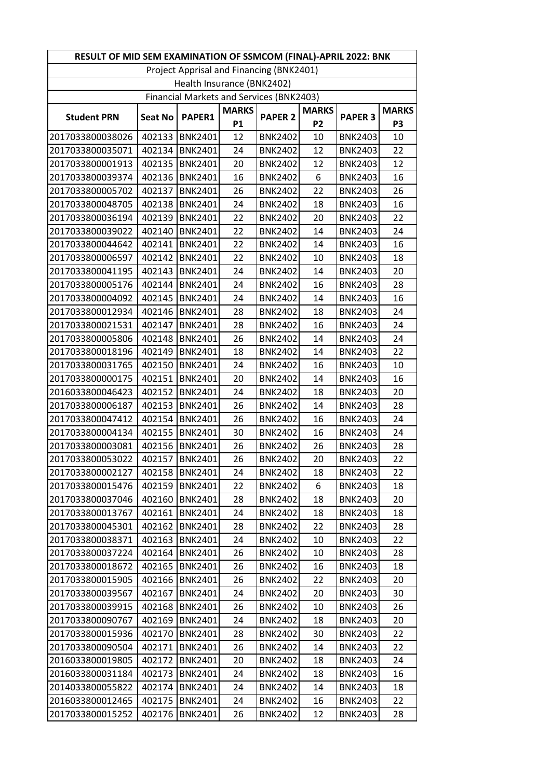| RESULT OF MID SEM EXAMINATION OF SSMCOM (FINAL)-APRIL 2022: BNK |                |                            |                           |                                          |                                |                |                                |
|-----------------------------------------------------------------|----------------|----------------------------|---------------------------|------------------------------------------|--------------------------------|----------------|--------------------------------|
|                                                                 |                |                            |                           | Project Apprisal and Financing (BNK2401) |                                |                |                                |
|                                                                 |                | Health Insurance (BNK2402) |                           |                                          |                                |                |                                |
|                                                                 |                |                            |                           | Financial Markets and Services (BNK2403) |                                |                |                                |
| <b>Student PRN</b>                                              | <b>Seat No</b> | <b>PAPER1</b>              | <b>MARKS</b><br><b>P1</b> | <b>PAPER 2</b>                           | <b>MARKS</b><br>P <sub>2</sub> | <b>PAPER 3</b> | <b>MARKS</b><br>P <sub>3</sub> |
| 2017033800038026                                                | 402133         | <b>BNK2401</b>             | 12                        | <b>BNK2402</b>                           | 10                             | <b>BNK2403</b> | 10                             |
| 2017033800035071                                                | 402134         | <b>BNK2401</b>             | 24                        | <b>BNK2402</b>                           | 12                             | <b>BNK2403</b> | 22                             |
| 2017033800001913                                                | 402135         | BNK2401                    | 20                        | <b>BNK2402</b>                           | 12                             | <b>BNK2403</b> | 12                             |
| 2017033800039374                                                | 402136         | <b>BNK2401</b>             | 16                        | <b>BNK2402</b>                           | 6                              | <b>BNK2403</b> | 16                             |
| 2017033800005702                                                | 402137         | <b>BNK2401</b>             | 26                        | <b>BNK2402</b>                           | 22                             | <b>BNK2403</b> | 26                             |
| 2017033800048705                                                | 402138         | <b>BNK2401</b>             | 24                        | <b>BNK2402</b>                           | 18                             | <b>BNK2403</b> | 16                             |
| 2017033800036194                                                | 402139         | <b>BNK2401</b>             | 22                        | <b>BNK2402</b>                           | 20                             | <b>BNK2403</b> | 22                             |
| 2017033800039022                                                | 402140         | BNK2401                    | 22                        | <b>BNK2402</b>                           | 14                             | <b>BNK2403</b> | 24                             |
| 2017033800044642                                                | 402141         | <b>BNK2401</b>             | 22                        | <b>BNK2402</b>                           | 14                             | <b>BNK2403</b> | 16                             |
| 2017033800006597                                                | 402142         | <b>BNK2401</b>             | 22                        | <b>BNK2402</b>                           | 10                             | <b>BNK2403</b> | 18                             |
| 2017033800041195                                                | 402143         | <b>BNK2401</b>             | 24                        | <b>BNK2402</b>                           | 14                             | <b>BNK2403</b> | 20                             |
| 2017033800005176                                                | 402144         | <b>BNK2401</b>             | 24                        | <b>BNK2402</b>                           | 16                             | <b>BNK2403</b> | 28                             |
| 2017033800004092                                                | 402145         | <b>BNK2401</b>             | 24                        | <b>BNK2402</b>                           | 14                             | <b>BNK2403</b> | 16                             |
| 2017033800012934                                                | 402146         | <b>BNK2401</b>             | 28                        | <b>BNK2402</b>                           | 18                             | <b>BNK2403</b> | 24                             |
| 2017033800021531                                                | 402147         | <b>BNK2401</b>             | 28                        | <b>BNK2402</b>                           | 16                             | <b>BNK2403</b> | 24                             |
| 2017033800005806                                                | 402148         | <b>BNK2401</b>             | 26                        | <b>BNK2402</b>                           | 14                             | <b>BNK2403</b> | 24                             |
| 2017033800018196                                                | 402149         | BNK2401                    | 18                        | <b>BNK2402</b>                           | 14                             | <b>BNK2403</b> | 22                             |
| 2017033800031765                                                | 402150         | <b>BNK2401</b>             | 24                        | <b>BNK2402</b>                           | 16                             | <b>BNK2403</b> | 10                             |
| 2017033800000175                                                | 402151         | <b>BNK2401</b>             | 20                        | <b>BNK2402</b>                           | 14                             | <b>BNK2403</b> | 16                             |
| 2016033800046423                                                | 402152         | <b>BNK2401</b>             | 24                        | <b>BNK2402</b>                           | 18                             | <b>BNK2403</b> | 20                             |
| 2017033800006187                                                | 402153         | <b>BNK2401</b>             | 26                        | <b>BNK2402</b>                           | 14                             | <b>BNK2403</b> | 28                             |
| 2017033800047412                                                | 402154         | <b>BNK2401</b>             | 26                        | <b>BNK2402</b>                           | 16                             | <b>BNK2403</b> | 24                             |
| 2017033800004134                                                | 402155         | <b>BNK2401</b>             | 30                        | <b>BNK2402</b>                           | 16                             | <b>BNK2403</b> | 24                             |
| 2017033800003081                                                | 402156         | <b>BNK2401</b>             | 26                        | <b>BNK2402</b>                           | 26                             | <b>BNK2403</b> | 28                             |
| 2017033800053022                                                | 402157         | <b>BNK2401</b>             | 26                        | <b>BNK2402</b>                           | 20                             | <b>BNK2403</b> | 22                             |
| 2017033800002127                                                |                | 402158   BNK2401           | 24                        | <b>BNK2402</b>                           | 18                             | <b>BNK2403</b> | 22                             |
| 2017033800015476                                                | 402159         | <b>BNK2401</b>             | 22                        | <b>BNK2402</b>                           | 6                              | <b>BNK2403</b> | 18                             |
| 2017033800037046                                                | 402160         | <b>BNK2401</b>             | 28                        | <b>BNK2402</b>                           | 18                             | <b>BNK2403</b> | 20                             |
| 2017033800013767                                                | 402161         | <b>BNK2401</b>             | 24                        | <b>BNK2402</b>                           | 18                             | <b>BNK2403</b> | 18                             |
| 2017033800045301                                                | 402162         | BNK2401                    | 28                        | <b>BNK2402</b>                           | 22                             | <b>BNK2403</b> | 28                             |
| 2017033800038371                                                | 402163         | <b>BNK2401</b>             | 24                        | <b>BNK2402</b>                           | 10                             | <b>BNK2403</b> | 22                             |
| 2017033800037224                                                | 402164         | <b>BNK2401</b>             | 26                        | <b>BNK2402</b>                           | 10                             | <b>BNK2403</b> | 28                             |
| 2017033800018672                                                | 402165         | <b>BNK2401</b>             | 26                        | <b>BNK2402</b>                           | 16                             | <b>BNK2403</b> | 18                             |
| 2017033800015905                                                | 402166         | BNK2401                    | 26                        | <b>BNK2402</b>                           | 22                             | <b>BNK2403</b> | 20                             |
| 2017033800039567                                                | 402167         | <b>BNK2401</b>             | 24                        | <b>BNK2402</b>                           | 20                             | <b>BNK2403</b> | 30                             |
| 2017033800039915                                                | 402168         | BNK2401                    | 26                        | <b>BNK2402</b>                           | 10                             | <b>BNK2403</b> | 26                             |
| 2017033800090767                                                | 402169         | <b>BNK2401</b>             | 24                        | <b>BNK2402</b>                           | 18                             | <b>BNK2403</b> | 20                             |
| 2017033800015936                                                | 402170         | BNK2401                    | 28                        | <b>BNK2402</b>                           | 30                             | <b>BNK2403</b> | 22                             |
| 2017033800090504                                                | 402171         | BNK2401                    | 26                        | <b>BNK2402</b>                           | 14                             | <b>BNK2403</b> | 22                             |
| 2016033800019805                                                | 402172         | <b>BNK2401</b>             | 20                        | <b>BNK2402</b>                           | 18                             | <b>BNK2403</b> | 24                             |
| 2016033800031184                                                | 402173         | <b>BNK2401</b>             | 24                        | <b>BNK2402</b>                           | 18                             | <b>BNK2403</b> | 16                             |
| 2014033800055822                                                | 402174         | <b>BNK2401</b>             | 24                        | <b>BNK2402</b>                           | 14                             | <b>BNK2403</b> | 18                             |
| 2016033800012465                                                | 402175         | <b>BNK2401</b>             | 24                        | <b>BNK2402</b>                           | 16                             | <b>BNK2403</b> | 22                             |
| 2017033800015252                                                | 402176         | <b>BNK2401</b>             | 26                        | <b>BNK2402</b>                           | 12                             | <b>BNK2403</b> | 28                             |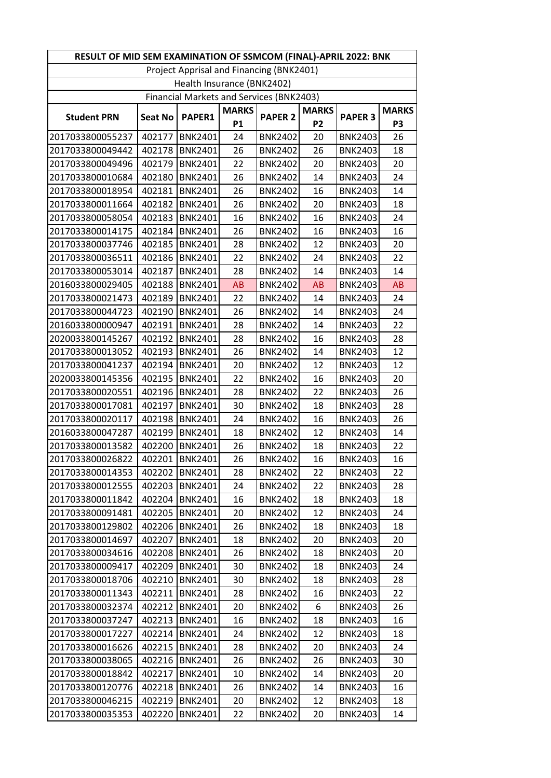| RESULT OF MID SEM EXAMINATION OF SSMCOM (FINAL)-APRIL 2022: BNK |                |                            |                           |                                                 |                                |                |                                |
|-----------------------------------------------------------------|----------------|----------------------------|---------------------------|-------------------------------------------------|--------------------------------|----------------|--------------------------------|
|                                                                 |                |                            |                           | Project Apprisal and Financing (BNK2401)        |                                |                |                                |
|                                                                 |                | Health Insurance (BNK2402) |                           |                                                 |                                |                |                                |
|                                                                 |                |                            |                           | <b>Financial Markets and Services (BNK2403)</b> |                                |                |                                |
| <b>Student PRN</b>                                              | <b>Seat No</b> | <b>PAPER1</b>              | <b>MARKS</b><br><b>P1</b> | <b>PAPER 2</b>                                  | <b>MARKS</b><br>P <sub>2</sub> | <b>PAPER 3</b> | <b>MARKS</b><br>P <sub>3</sub> |
| 2017033800055237                                                | 402177         | <b>BNK2401</b>             | 24                        | <b>BNK2402</b>                                  | 20                             | <b>BNK2403</b> | 26                             |
| 2017033800049442                                                | 402178         | <b>BNK2401</b>             | 26                        | <b>BNK2402</b>                                  | 26                             | <b>BNK2403</b> | 18                             |
| 2017033800049496                                                | 402179         | BNK2401                    | 22                        | <b>BNK2402</b>                                  | 20                             | <b>BNK2403</b> | 20                             |
| 2017033800010684                                                | 402180         | <b>BNK2401</b>             | 26                        | <b>BNK2402</b>                                  | 14                             | <b>BNK2403</b> | 24                             |
| 2017033800018954                                                | 402181         | <b>BNK2401</b>             | 26                        | <b>BNK2402</b>                                  | 16                             | <b>BNK2403</b> | 14                             |
| 2017033800011664                                                | 402182         | <b>BNK2401</b>             | 26                        | <b>BNK2402</b>                                  | 20                             | <b>BNK2403</b> | 18                             |
| 2017033800058054                                                | 402183         | <b>BNK2401</b>             | 16                        | <b>BNK2402</b>                                  | 16                             | <b>BNK2403</b> | 24                             |
| 2017033800014175                                                | 402184         | BNK2401                    | 26                        | <b>BNK2402</b>                                  | 16                             | <b>BNK2403</b> | 16                             |
| 2017033800037746                                                | 402185         | <b>BNK2401</b>             | 28                        | <b>BNK2402</b>                                  | 12                             | <b>BNK2403</b> | 20                             |
| 2017033800036511                                                | 402186         | <b>BNK2401</b>             | 22                        | <b>BNK2402</b>                                  | 24                             | <b>BNK2403</b> | 22                             |
| 2017033800053014                                                | 402187         | <b>BNK2401</b>             | 28                        | <b>BNK2402</b>                                  | 14                             | <b>BNK2403</b> | 14                             |
| 2016033800029405                                                | 402188         | BNK2401                    | <b>AB</b>                 | <b>BNK2402</b>                                  | <b>AB</b>                      | <b>BNK2403</b> | AB                             |
| 2017033800021473                                                | 402189         | <b>BNK2401</b>             | 22                        | <b>BNK2402</b>                                  | 14                             | <b>BNK2403</b> | 24                             |
| 2017033800044723                                                | 402190         | <b>BNK2401</b>             | 26                        | <b>BNK2402</b>                                  | 14                             | <b>BNK2403</b> | 24                             |
| 2016033800000947                                                | 402191         | <b>BNK2401</b>             | 28                        | <b>BNK2402</b>                                  | 14                             | <b>BNK2403</b> | 22                             |
| 2020033800145267                                                | 402192         | <b>BNK2401</b>             | 28                        | <b>BNK2402</b>                                  | 16                             | <b>BNK2403</b> | 28                             |
| 2017033800013052                                                | 402193         | BNK2401                    | 26                        | <b>BNK2402</b>                                  | 14                             | <b>BNK2403</b> | 12                             |
| 2017033800041237                                                | 402194         | <b>BNK2401</b>             | 20                        | <b>BNK2402</b>                                  | 12                             | <b>BNK2403</b> | 12                             |
| 2020033800145356                                                | 402195         | <b>BNK2401</b>             | 22                        | <b>BNK2402</b>                                  | 16                             | <b>BNK2403</b> | 20                             |
| 2017033800020551                                                | 402196         | <b>BNK2401</b>             | 28                        | <b>BNK2402</b>                                  | 22                             | <b>BNK2403</b> | 26                             |
| 2017033800017081                                                | 402197         | <b>BNK2401</b>             | 30                        | <b>BNK2402</b>                                  | 18                             | <b>BNK2403</b> | 28                             |
| 2017033800020117                                                | 402198         | <b>BNK2401</b>             | 24                        | <b>BNK2402</b>                                  | 16                             | <b>BNK2403</b> | 26                             |
| 2016033800047287                                                | 402199         | <b>BNK2401</b>             | 18                        | <b>BNK2402</b>                                  | 12                             | <b>BNK2403</b> | 14                             |
| 2017033800013582                                                | 402200         | <b>BNK2401</b>             | 26                        | <b>BNK2402</b>                                  | 18                             | <b>BNK2403</b> | 22                             |
| 2017033800026822                                                | 402201         | <b>BNK2401</b>             | 26                        | <b>BNK2402</b>                                  | 16                             | <b>BNK2403</b> | 16                             |
| 2017033800014353                                                |                | 402202 BNK2401             | 28                        | <b>BNK2402</b>                                  | 22                             | <b>BNK2403</b> | 22                             |
| 2017033800012555                                                | 402203         | <b>BNK2401</b>             | 24                        | <b>BNK2402</b>                                  | 22                             | <b>BNK2403</b> | 28                             |
| 2017033800011842                                                | 402204         | BNK2401                    | 16                        | <b>BNK2402</b>                                  | 18                             | <b>BNK2403</b> | 18                             |
| 2017033800091481                                                | 402205         | <b>BNK2401</b>             | 20                        | <b>BNK2402</b>                                  | 12                             | <b>BNK2403</b> | 24                             |
| 2017033800129802                                                | 402206         | BNK2401                    | 26                        | <b>BNK2402</b>                                  | 18                             | <b>BNK2403</b> | 18                             |
| 2017033800014697                                                | 402207         | <b>BNK2401</b>             | 18                        | <b>BNK2402</b>                                  | 20                             | <b>BNK2403</b> | 20                             |
| 2017033800034616                                                | 402208         | <b>BNK2401</b>             | 26                        | <b>BNK2402</b>                                  | 18                             | <b>BNK2403</b> | 20                             |
| 2017033800009417                                                | 402209         | BNK2401                    | 30                        | <b>BNK2402</b>                                  | 18                             | <b>BNK2403</b> | 24                             |
| 2017033800018706                                                | 402210         | BNK2401                    | 30                        | <b>BNK2402</b>                                  | 18                             | <b>BNK2403</b> | 28                             |
| 2017033800011343                                                | 402211         | <b>BNK2401</b>             | 28                        | <b>BNK2402</b>                                  | 16                             | <b>BNK2403</b> | 22                             |
| 2017033800032374                                                | 402212         | <b>BNK2401</b>             | 20                        | <b>BNK2402</b>                                  | 6                              | <b>BNK2403</b> | 26                             |
| 2017033800037247                                                | 402213         | <b>BNK2401</b>             | 16                        | <b>BNK2402</b>                                  | 18                             | <b>BNK2403</b> | 16                             |
| 2017033800017227                                                | 402214         | BNK2401                    | 24                        | <b>BNK2402</b>                                  | 12                             | <b>BNK2403</b> | 18                             |
| 2017033800016626                                                | 402215         | <b>BNK2401</b>             | 28                        | <b>BNK2402</b>                                  | 20                             | <b>BNK2403</b> | 24                             |
| 2017033800038065                                                | 402216         | <b>BNK2401</b>             | 26                        | <b>BNK2402</b>                                  | 26                             | <b>BNK2403</b> | 30                             |
| 2017033800018842                                                | 402217         | <b>BNK2401</b>             | 10                        | <b>BNK2402</b>                                  | 14                             | <b>BNK2403</b> | 20                             |
| 2017033800120776                                                | 402218         | <b>BNK2401</b>             | 26                        | <b>BNK2402</b>                                  | 14                             | <b>BNK2403</b> | 16                             |
| 2017033800046215                                                | 402219         | <b>BNK2401</b>             | 20                        | <b>BNK2402</b>                                  | 12                             | <b>BNK2403</b> | 18                             |
| 2017033800035353                                                | 402220         | <b>BNK2401</b>             | 22                        | <b>BNK2402</b>                                  | 20                             | <b>BNK2403</b> | 14                             |